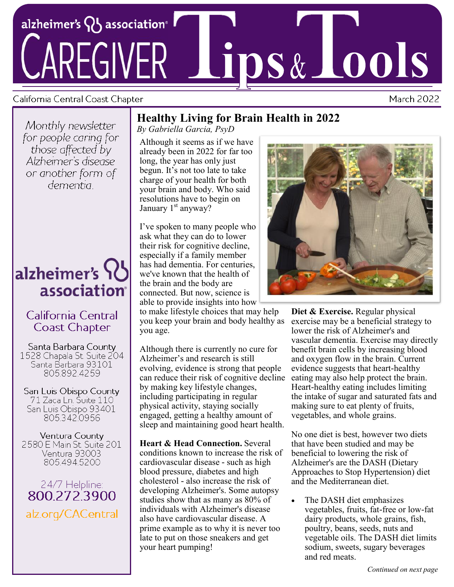

### California Central Coast Chapter

**March 2022** 

Monthly newsletter for people caring for those affected by Alzheimer's disease or another form of dementia :

# alzheimer's SC association<sup>®</sup>

# California Central **Coast Chapter**

Santa Barbara County 1528 Chapala St. Suite 204 Santa Barbara 93101 805.892.4259

San Luis Obispo County 71 Zaca Ln. Suite 110 San Luis Obispo 93401 8053420956

Ventura County 2580 E Main St. Suite 201 Ventura 93003 8054945200

# 24/7 Helpline: 800.272,3900 alz.org/CACentral

# **Healthy Living for Brain Health in 2022**

*By Gabriella Garcia, PsyD*

Although it seems as if we have already been in 2022 for far too long, the year has only just begun. It's not too late to take charge of your health for both your brain and body. Who said resolutions have to begin on January  $1<sup>st</sup>$  anyway?

I've spoken to many people who ask what they can do to lower their risk for cognitive decline, especially if a family member has had dementia. For centuries, we've known that the health of the brain and the body are connected. But now, science is able to provide insights into how

to make lifestyle choices that may help you keep your brain and body healthy as you age.

Although there is currently no cure for Alzheimer's and research is still evolving, evidence is strong that people can reduce their risk of cognitive decline by making key lifestyle changes, including participating in regular physical activity, staying socially engaged, getting a healthy amount of sleep and maintaining good heart health.

**Heart & Head Connection.** Several conditions known to increase the risk of cardiovascular disease - such as high blood pressure, diabetes and high cholesterol - also increase the risk of developing Alzheimer's. Some autopsy studies show that as many as 80% of individuals with Alzheimer's disease also have cardiovascular disease. A prime example as to why it is never too late to put on those sneakers and get your heart pumping!



**Diet & Exercise.** Regular physical exercise may be a beneficial strategy to lower the risk of Alzheimer's and vascular dementia. Exercise may directly benefit brain cells by increasing blood and oxygen flow in the brain. Current evidence suggests that heart-healthy eating may also help protect the brain. Heart-healthy eating includes limiting the intake of sugar and saturated fats and making sure to eat plenty of fruits, vegetables, and whole grains.

No one diet is best, however two diets that have been studied and may be beneficial to lowering the risk of Alzheimer's are the DASH (Dietary Approaches to Stop Hypertension) diet and the Mediterranean diet.

The DASH diet emphasizes vegetables, fruits, fat-free or low-fat dairy products, whole grains, fish, poultry, beans, seeds, nuts and vegetable oils. The DASH diet limits sodium, sweets, sugary beverages and red meats.